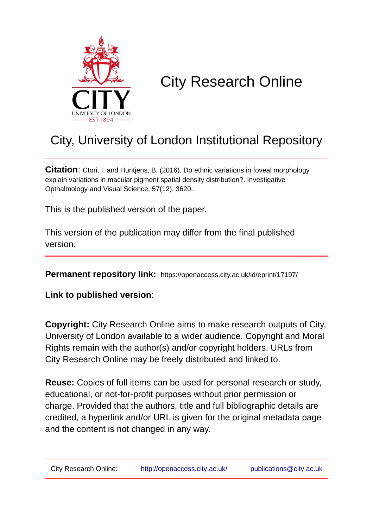

## City Research Online

## City, University of London Institutional Repository

**Citation**: Ctori, I. and Huntjens, B. (2016). Do ethnic variations in foveal morphology explain variations in macular pigment spatial density distribution?. Investigative Opthalmology and Visual Science, 57(12), 3620..

This is the published version of the paper.

This version of the publication may differ from the final published version.

**Permanent repository link:** https://openaccess.city.ac.uk/id/eprint/17197/

**Link to published version**:

**Copyright:** City Research Online aims to make research outputs of City, University of London available to a wider audience. Copyright and Moral Rights remain with the author(s) and/or copyright holders. URLs from City Research Online may be freely distributed and linked to.

**Reuse:** Copies of full items can be used for personal research or study, educational, or not-for-profit purposes without prior permission or charge. Provided that the authors, title and full bibliographic details are credited, a hyperlink and/or URL is given for the original metadata page and the content is not changed in any way.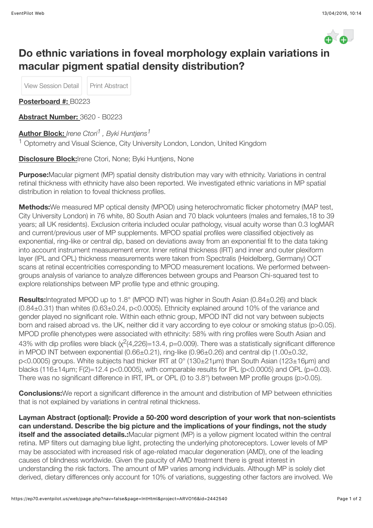

## **Do ethnic variations in foveal morphology explain variations in macular pigment spatial density distribution?**

[View Session Detail](https://ep70.eventpilot.us/web/page.php?page=Session&project=ARVO16&id=221748) [Print Abstract](http://ep70.eventpilot.us/web/page.php?nav=false&page=IntHtml&project=ARVO16&id=2442540)

**Posterboard #:** B0223

**Abstract Number:** 3620 - B0223

## Author Block: *Irene Ctori<sup>1</sup>*, Byki Huntiens<sup>1</sup>

<sup>1</sup> Optometry and Visual Science, City University London, London, United Kingdom

**Disclosure Block:**Irene Ctori, None; Byki Huntjens, None

**Purpose:**Macular pigment (MP) spatial density distribution may vary with ethnicity. Variations in central retinal thickness with ethnicity have also been reported. We investigated ethnic variations in MP spatial distribution in relation to foveal thickness profiles.

**Methods:**We measured MP optical density (MPOD) using heterochromatic flicker photometry (MAP test, City University London) in 76 white, 80 South Asian and 70 black volunteers (males and females,18 to 39 years; all UK residents). Exclusion criteria included ocular pathology, visual acuity worse than 0.3 logMAR and current/previous user of MP supplements. MPOD spatial profiles were classified objectively as exponential, ring-like or central dip, based on deviations away from an exponential fit to the data taking into account instrument measurement error. Inner retinal thickness (IRT) and inner and outer plexiform layer (IPL and OPL) thickness measurements were taken from Spectralis (Heidelberg, Germany) OCT scans at retinal eccentricities corresponding to MPOD measurement locations. We performed betweengroups analysis of variance to analyze differences between groups and Pearson Chi-squared test to explore relationships between MP profile type and ethnic grouping.

**Results:**Integrated MPOD up to 1.8° (MPOD INT) was higher in South Asian (0.84±0.26) and black (0.84±0.31) than whites (0.63±0.24, p<0.0005). Ethnicity explained around 10% of the variance and gender played no significant role. Within each ethnic group, MPOD INT did not vary between subjects born and raised abroad vs. the UK, neither did it vary according to eye colour or smoking status (p>0.05). MPOD profile phenotypes were associated with ethnicity: 58% with ring profiles were South Asian and 43% with dip profiles were black  $(x^2(4,226)=13.4, p=0.009)$ . There was a statistically significant difference in MPOD INT between exponential (0.66±0.21), ring-like (0.96±0.26) and central dip (1.00±0.32, p<0.0005) groups. White subjects had thicker IRT at 0° (130±21μm) than South Asian (123±16μm) and blacks (116±14 $\mu$ m; F(2)=12.4 p<0.0005), with comparable results for IPL (p<0.0005) and OPL (p=0.03). There was no significant difference in IRT, IPL or OPL (0 to 3.8°) between MP profile groups (p>0.05).

**Conclusions:**We report a significant difference in the amount and distribution of MP between ethnicities that is not explained by variations in central retinal thickness.

**Layman Abstract (optional): Provide a 50-200 word description of your work that non-scientists can understand. Describe the big picture and the implications of your findings, not the study itself and the associated details.:**Macular pigment (MP) is a yellow pigment located within the central retina. MP filters out damaging blue light, protecting the underlying photoreceptors. Lower levels of MP may be associated with increased risk of age-related macular degeneration (AMD), one of the leading causes of blindness worldwide. Given the paucity of AMD treatment there is great interest in understanding the risk factors. The amount of MP varies among individuals. Although MP is solely diet derived, dietary differences only account for 10% of variations, suggesting other factors are involved. We